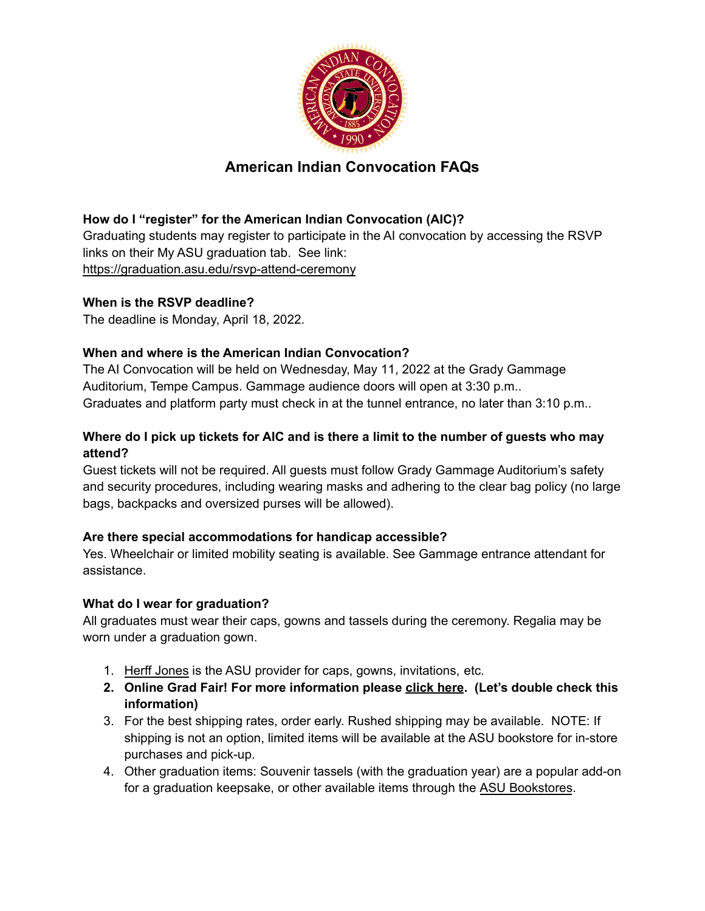

# **American Indian Convocation FAQs**

## **How do I "register" for the American Indian Convocation (AIC)?**

Graduating students may register to participate in the AI convocation by accessing the RSVP links on their My ASU graduation tab. See link: <https://graduation.asu.edu/rsvp-attend-ceremony>

#### **When is the RSVP deadline?**

The deadline is Monday, April 18, 2022.

#### **When and where is the American Indian Convocation?**

The AI Convocation will be held on Wednesday, May 11, 2022 at the Grady Gammage Auditorium, Tempe Campus. Gammage audience doors will open at 3:30 p.m.. Graduates and platform party must check in at the tunnel entrance, no later than 3:10 p.m..

## **Where do I pick up tickets for AIC and is there a limit to the number of guests who may attend?**

Guest tickets will not be required. All guests must follow Grady Gammage Auditorium's safety and security procedures, including wearing masks and adhering to the clear bag policy (no large bags, backpacks and oversized purses will be allowed).

## **Are there special accommodations for handicap accessible?**

Yes. Wheelchair or limited mobility seating is available. See Gammage entrance attendant for assistance.

#### **What do I wear for graduation?**

All graduates must wear their caps, gowns and tassels during the ceremony. Regalia may be worn under a graduation gown.

- 1. [Herff Jones](http://colleges.herffjones.com/college/_arizonastate/) is the ASU provider for caps, gowns, invitations, etc.
- **2. Online Grad Fair! For more information pleas[e click here.](https://graduation.asu.edu/graduates/dressing) (Let's double check this information)**
- 3. For the best shipping rates, order early. Rushed shipping may be available. NOTE: If shipping is not an option, limited items will be available at the ASU bookstore for in-store purchases and pick-up.
- 4. Other graduation items: Souvenir tassels (with the graduation year) are a popular add-on for a graduation keepsake, or other available items through the [ASU Bookstores](http://www.bkstr.com/arizonastatestore/shop/gifts-and-collectibles/specialty-shops/graduation).